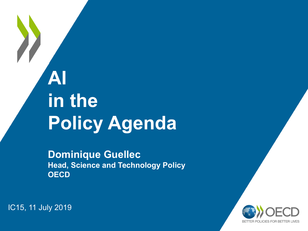## **AI in the Policy Agenda**

**Dominique Guellec Head, Science and Technology Policy OECD**

BETTER POLICIES FOR BETTER LIVES

IC15, 11 July 2019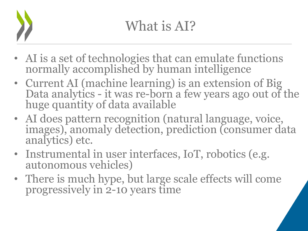- AI is a set of technologies that can emulate functions normally accomplished by human intelligence
- Current AI (machine learning) is an extension of Big Data analytics - it was re-born a few years ago out of the huge quantity of data available
- AI does pattern recognition (natural language, voice, images), anomaly detection, prediction (consumer data analytics) etc.
- Instrumental in user interfaces, IoT, robotics (e.g. autonomous vehicles)
- There is much hype, but large scale effects will come progressively in 2-10 years time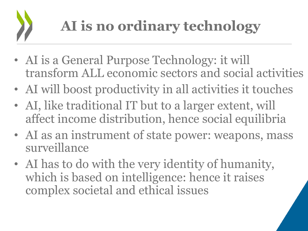- AI is a General Purpose Technology: it will transform ALL economic sectors and social activities
- AI will boost productivity in all activities it touches
- AI, like traditional IT but to a larger extent, will affect income distribution, hence social equilibria
- AI as an instrument of state power: weapons, mass surveillance
- AI has to do with the very identity of humanity, which is based on intelligence: hence it raises complex societal and ethical issues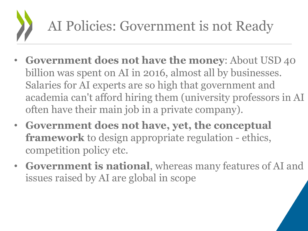## AI Policies: Government is not Ready

- **Government does not have the money**: About USD 40 billion was spent on AI in 2016, almost all by businesses. Salaries for AI experts are so high that government and academia can't afford hiring them (university professors in AI often have their main job in a private company).
- **Government does not have, yet, the conceptual framework** to design appropriate regulation - ethics, competition policy etc.
- **Government is national**, whereas many features of AI and issues raised by AI are global in scope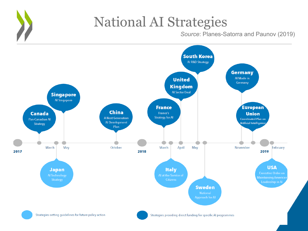

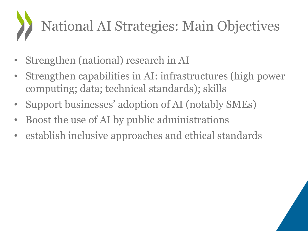

- Strengthen (national) research in AI
- Strengthen capabilities in AI: infrastructures (high power computing; data; technical standards); skills
- Support businesses' adoption of AI (notably SMEs)
- Boost the use of AI by public administrations
- establish inclusive approaches and ethical standards

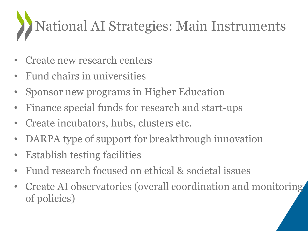## National AI Strategies: Main Instruments

- Create new research centers
- Fund chairs in universities
- Sponsor new programs in Higher Education
- Finance special funds for research and start-ups
- Create incubators, hubs, clusters etc.
- DARPA type of support for breakthrough innovation
- Establish testing facilities
- Fund research focused on ethical & societal issues
- Create AI observatories (overall coordination and monitoring of policies)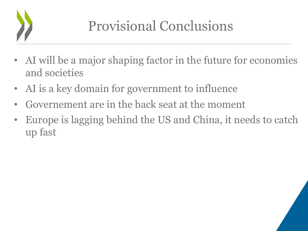

- AI will be a major shaping factor in the future for economies and societies
- AI is a key domain for government to influence
- Governement are in the back seat at the moment
- Europe is lagging behind the US and China, it needs to catch up fast